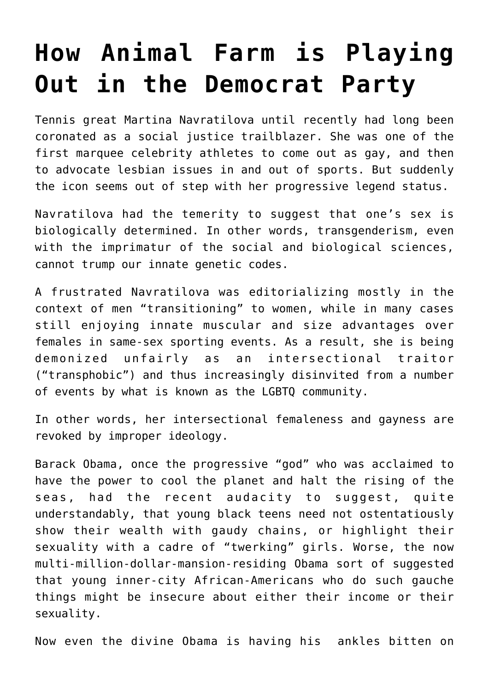## **[How Animal Farm is Playing](https://intellectualtakeout.org/2019/03/how-animal-farm-is-playing-out-in-the-democrat-party/) [Out in the Democrat Party](https://intellectualtakeout.org/2019/03/how-animal-farm-is-playing-out-in-the-democrat-party/)**

Tennis great Martina Navratilova until recently had long been coronated as a social justice trailblazer. She was one of the first marquee celebrity athletes to come out as gay, and then to advocate lesbian issues in and out of sports. But suddenly the icon seems out of step with her progressive legend status.

Navratilova had the temerity to suggest that one's sex is biologically determined. In other words, transgenderism, even with the imprimatur of the social and biological sciences, cannot trump our innate genetic codes.

A frustrated Navratilova was editorializing mostly in the context of men "transitioning" to women, while in many cases still enjoying innate muscular and size advantages over females in same-sex sporting events. As a result, she is being demonized unfairly as an intersectional traitor ("transphobic") and thus increasingly disinvited from a number of events by what is known as the LGBTQ community.

In other words, her intersectional femaleness and gayness are revoked by improper ideology.

Barack Obama, once the progressive "god" who was acclaimed to have the power to cool the planet and halt the rising of the seas, had the recent audacity to suggest, quite understandably, that young black teens need not ostentatiously show their wealth with gaudy chains, or highlight their sexuality with a cadre of "twerking" girls. Worse, the now multi-million-dollar-mansion-residing Obama sort of suggested that young inner-city African-Americans who do such gauche things might be insecure about either their income or their sexuality.

Now even the divine Obama is having his ankles bitten on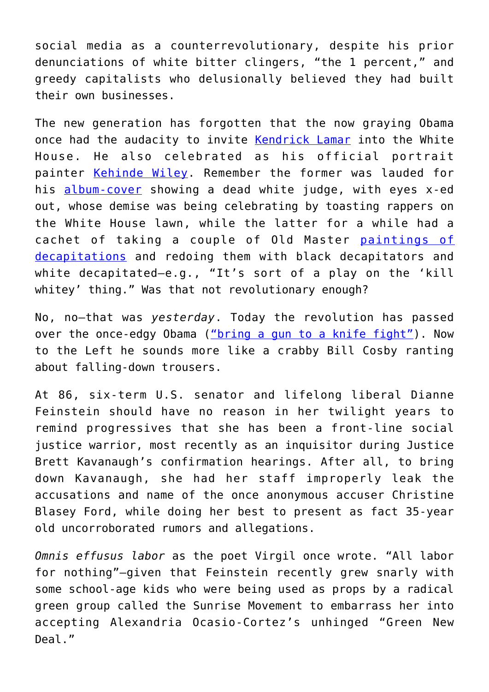social media as a counterrevolutionary, despite his prior denunciations of white bitter clingers, "the 1 percent," and greedy capitalists who delusionally believed they had built their own businesses.

The new generation has forgotten that the now graying Obama once had the audacity to invite [Kendrick Lamar](https://noisey.vice.com/en_us/article/vvz45j/how-kendrick-lamars-to-pimp-a-butterfly-artwork-is-the-lasting-document-of-americas-hip-hop-president) into the White House. He also celebrated as his official portrait painter [Kehinde Wiley](http://kehindewiley.com/). Remember the former was lauded for his [album-cover](https://www.huffingtonpost.com/entry/kendrick-lamar-obama-white-house_us_56940f81e4b0cad15e65c5b3) showing a dead white judge, with eyes x-ed out, whose demise was being celebrating by toasting rappers on the White House lawn, while the latter for a while had a cachet of taking a couple of Old Master [paintings of](https://www.telegraph.co.uk/art/artists/obama-portrait-painterkehinde-wileys-past-work-depicted-black/) [decapitations](https://www.telegraph.co.uk/art/artists/obama-portrait-painterkehinde-wileys-past-work-depicted-black/) and redoing them with black decapitators and white decapitated—e.g., "It's sort of a play on the 'kill whitey' thing." Was that not revolutionary enough?

No, no—that was *yesterday*. Today the revolution has passed over the once-edgy Obama [\("bring a gun to a knife fight"](https://www.politicususa.com/2008/06/14/obama-philly.html)). Now to the Left he sounds more like a crabby Bill Cosby ranting about falling-down trousers.

At 86, six-term U.S. senator and lifelong liberal Dianne Feinstein should have no reason in her twilight years to remind progressives that she has been a front-line social justice warrior, most recently as an inquisitor during Justice Brett Kavanaugh's confirmation hearings. After all, to bring down Kavanaugh, she had her staff improperly leak the accusations and name of the once anonymous accuser Christine Blasey Ford, while doing her best to present as fact 35-year old uncorroborated rumors and allegations.

*Omnis effusus labor* as the poet Virgil once wrote. "All labor for nothing"—given that Feinstein recently grew snarly with some school-age kids who were being used as props by a radical green group called the Sunrise Movement to embarrass her into accepting Alexandria Ocasio-Cortez's unhinged "Green New Deal."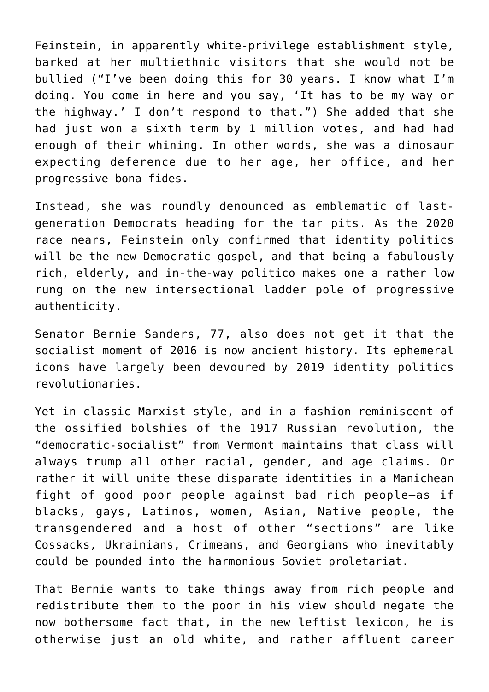Feinstein, in apparently white-privilege establishment style, barked at her multiethnic visitors that she would not be bullied ("I've been doing this for 30 years. I know what I'm doing. You come in here and you say, 'It has to be my way or the highway.' I don't respond to that.") She added that she had just won a sixth term by 1 million votes, and had had enough of their whining. In other words, she was a dinosaur expecting deference due to her age, her office, and her progressive bona fides.

Instead, she was roundly denounced as emblematic of lastgeneration Democrats heading for the tar pits. As the 2020 race nears, Feinstein only confirmed that identity politics will be the new Democratic gospel, and that being a fabulously rich, elderly, and in-the-way politico makes one a rather low rung on the new intersectional ladder pole of progressive authenticity.

Senator Bernie Sanders, 77, also does not get it that the socialist moment of 2016 is now ancient history. Its ephemeral icons have largely been devoured by 2019 identity politics revolutionaries.

Yet in classic Marxist style, and in a fashion reminiscent of the ossified bolshies of the 1917 Russian revolution, the "democratic-socialist" from Vermont maintains that class will always trump all other racial, gender, and age claims. Or rather it will unite these disparate identities in a Manichean fight of good poor people against bad rich people—as if blacks, gays, Latinos, women, Asian, Native people, the transgendered and a host of other "sections" are like Cossacks, Ukrainians, Crimeans, and Georgians who inevitably could be pounded into the harmonious Soviet proletariat.

That Bernie wants to take things away from rich people and redistribute them to the poor in his view should negate the now bothersome fact that, in the new leftist lexicon, he is otherwise just an old white, and rather affluent career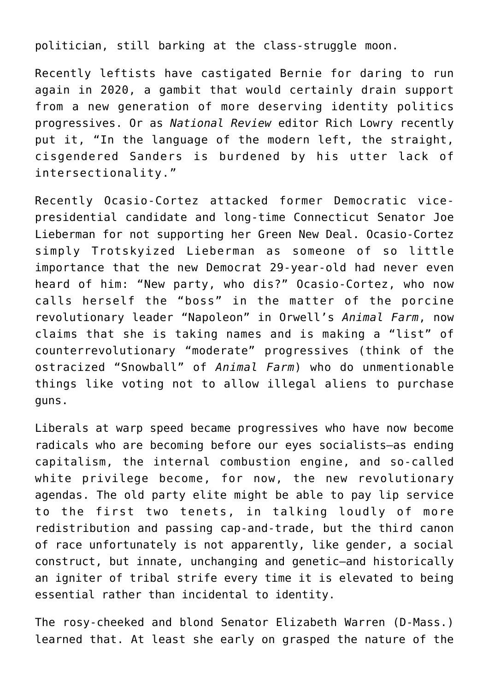politician, still barking at the class-struggle moon.

Recently leftists have castigated Bernie for daring to run again in 2020, a gambit that would certainly drain support from a new generation of more deserving identity politics progressives. Or as *National Review* editor Rich Lowry recently put it, "In the language of the modern left, the straight, cisgendered Sanders is burdened by his utter lack of intersectionality."

Recently Ocasio-Cortez attacked former Democratic vicepresidential candidate and long-time Connecticut Senator Joe Lieberman for not supporting her Green New Deal. Ocasio-Cortez simply Trotskyized Lieberman as someone of so little importance that the new Democrat 29-year-old had never even heard of him: "New party, who dis?" Ocasio-Cortez, who now calls herself the "boss" in the matter of the porcine revolutionary leader "Napoleon" in Orwell's *Animal Farm*, now claims that she is taking names and is making a "list" of counterrevolutionary "moderate" progressives (think of the ostracized "Snowball" of *Animal Farm*) who do unmentionable things like voting not to allow illegal aliens to purchase guns.

Liberals at warp speed became progressives who have now become radicals who are becoming before our eyes socialists—as ending capitalism, the internal combustion engine, and so-called white privilege become, for now, the new revolutionary agendas. The old party elite might be able to pay lip service to the first two tenets, in talking loudly of more redistribution and passing cap-and-trade, but the third canon of race unfortunately is not apparently, like gender, a social construct, but innate, unchanging and genetic—and historically an igniter of tribal strife every time it is elevated to being essential rather than incidental to identity.

The rosy-cheeked and blond Senator Elizabeth Warren (D-Mass.) learned that. At least she early on grasped the nature of the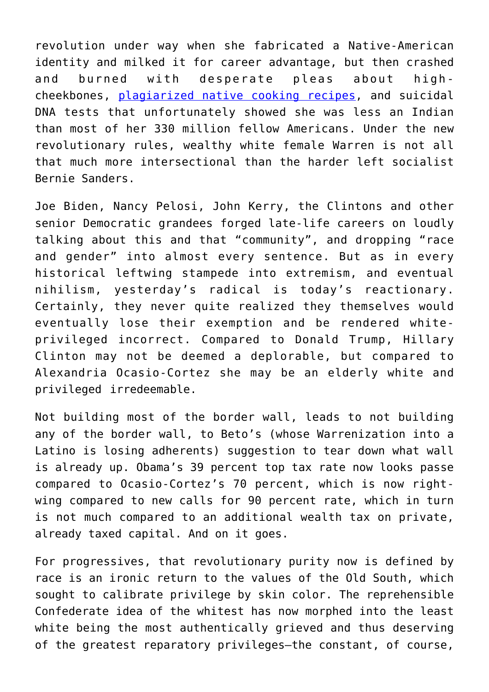revolution under way when she fabricated a Native-American identity and milked it for career advantage, but then crashed and burned with desperate pleas about highcheekbones, [plagiarized native cooking recipes](https://www.dailymail.co.uk/news/article-2146628/Elizabeth-Warrens-Pow-Wow-Chow-Cherokee-recipes-word-word-COPIES-famous-FRENCH-chefs-techniques.html), and suicidal DNA tests that unfortunately showed she was less an Indian than most of her 330 million fellow Americans. Under the new revolutionary rules, wealthy white female Warren is not all that much more intersectional than the harder left socialist Bernie Sanders.

Joe Biden, Nancy Pelosi, John Kerry, the Clintons and other senior Democratic grandees forged late-life careers on loudly talking about this and that "community", and dropping "race and gender" into almost every sentence. But as in every historical leftwing stampede into extremism, and eventual nihilism, yesterday's radical is today's reactionary. Certainly, they never quite realized they themselves would eventually lose their exemption and be rendered whiteprivileged incorrect. Compared to Donald Trump, Hillary Clinton may not be deemed a deplorable, but compared to Alexandria Ocasio-Cortez she may be an elderly white and privileged irredeemable.

Not building most of the border wall, leads to not building any of the border wall, to Beto's (whose Warrenization into a Latino is losing adherents) suggestion to tear down what wall is already up. Obama's 39 percent top tax rate now looks passe compared to Ocasio-Cortez's 70 percent, which is now rightwing compared to new calls for 90 percent rate, which in turn is not much compared to an additional wealth tax on private, already taxed capital. And on it goes.

For progressives, that revolutionary purity now is defined by race is an ironic return to the values of the Old South, which sought to calibrate privilege by skin color. The reprehensible Confederate idea of the whitest has now morphed into the least white being the most authentically grieved and thus deserving of the greatest reparatory privileges—the constant, of course,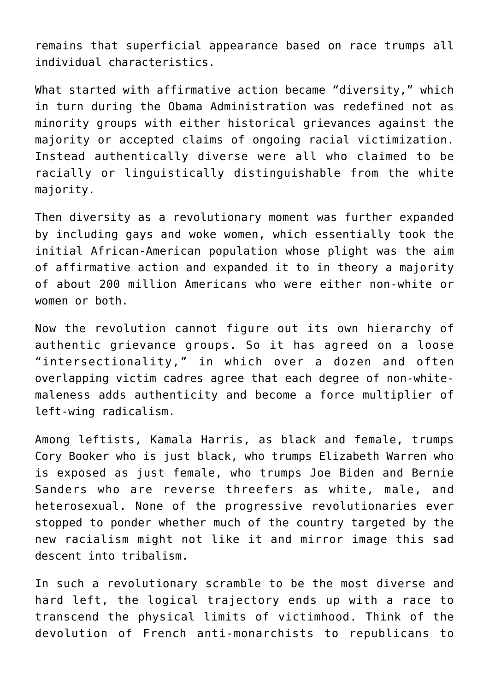remains that superficial appearance based on race trumps all individual characteristics.

What started with affirmative action became "diversity," which in turn during the Obama Administration was redefined not as minority groups with either historical grievances against the majority or accepted claims of ongoing racial victimization. Instead authentically diverse were all who claimed to be racially or linguistically distinguishable from the white majority.

Then diversity as a revolutionary moment was further expanded by including gays and woke women, which essentially took the initial African-American population whose plight was the aim of affirmative action and expanded it to in theory a majority of about 200 million Americans who were either non-white or women or both.

Now the revolution cannot figure out its own hierarchy of authentic grievance groups. So it has agreed on a loose "intersectionality," in which over a dozen and often overlapping victim cadres agree that each degree of non-whitemaleness adds authenticity and become a force multiplier of left-wing radicalism.

Among leftists, Kamala Harris, as black and female, trumps Cory Booker who is just black, who trumps Elizabeth Warren who is exposed as just female, who trumps Joe Biden and Bernie Sanders who are reverse threefers as white, male, and heterosexual. None of the progressive revolutionaries ever stopped to ponder whether much of the country targeted by the new racialism might not like it and mirror image this sad descent into tribalism.

In such a revolutionary scramble to be the most diverse and hard left, the logical trajectory ends up with a race to transcend the physical limits of victimhood. Think of the devolution of French anti-monarchists to republicans to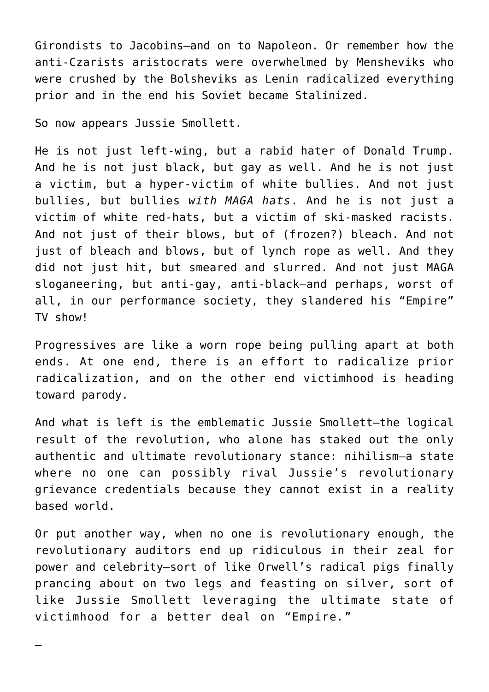Girondists to Jacobins—and on to Napoleon. Or remember how the anti-Czarists aristocrats were overwhelmed by Mensheviks who were crushed by the Bolsheviks as Lenin radicalized everything prior and in the end his Soviet became Stalinized.

So now appears Jussie Smollett.

—

He is not just left-wing, but a rabid hater of Donald Trump. And he is not just black, but gay as well. And he is not just a victim, but a hyper-victim of white bullies. And not just bullies, but bullies *with MAGA hats*. And he is not just a victim of white red-hats, but a victim of ski-masked racists. And not just of their blows, but of (frozen?) bleach. And not just of bleach and blows, but of lynch rope as well. And they did not just hit, but smeared and slurred. And not just MAGA sloganeering, but anti-gay, anti-black—and perhaps, worst of all, in our performance society, they slandered his "Empire" TV show!

Progressives are like a worn rope being pulling apart at both ends. At one end, there is an effort to radicalize prior radicalization, and on the other end victimhood is heading toward parody.

And what is left is the emblematic Jussie Smollett—the logical result of the revolution, who alone has staked out the only authentic and ultimate revolutionary stance: nihilism—a state where no one can possibly rival Jussie's revolutionary grievance credentials because they cannot exist in a reality based world.

Or put another way, when no one is revolutionary enough, the revolutionary auditors end up ridiculous in their zeal for power and celebrity—sort of like Orwell's radical pigs finally prancing about on two legs and feasting on silver, sort of like Jussie Smollett leveraging the ultimate state of victimhood for a better deal on "Empire*.*"